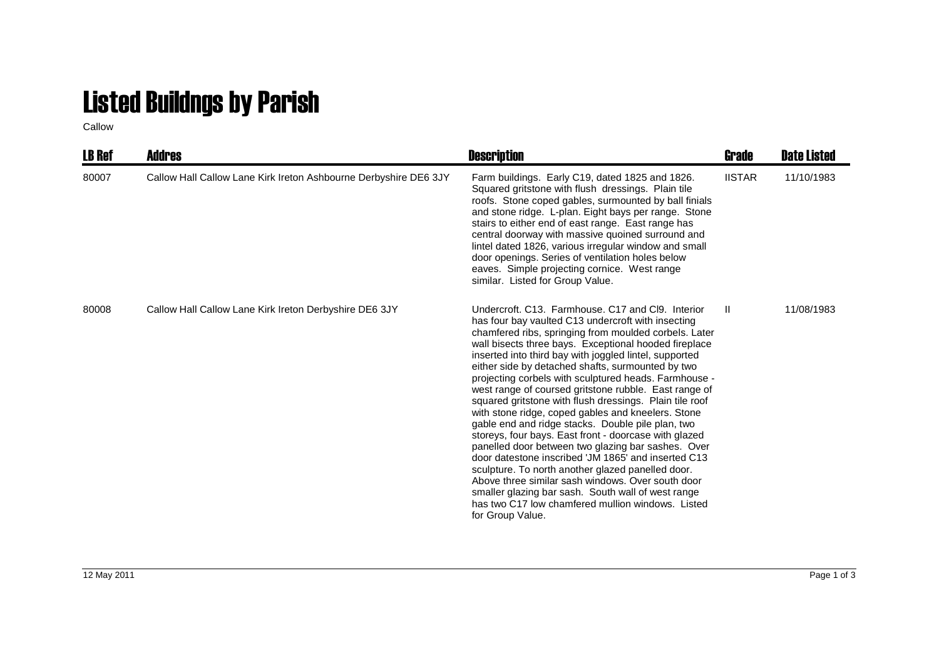## Listed Buildngs by Parish

Callow

| <b>LB Ref</b> | <b>Addres</b>                                                    | <b>Description</b>                                                                                                                                                                                                                                                                                                                                                                                                                                                                                                                                                                                                                                                                                                                                                                                                                                                                                                                                                                                                                              | Grade         | <b>Date Listed</b> |
|---------------|------------------------------------------------------------------|-------------------------------------------------------------------------------------------------------------------------------------------------------------------------------------------------------------------------------------------------------------------------------------------------------------------------------------------------------------------------------------------------------------------------------------------------------------------------------------------------------------------------------------------------------------------------------------------------------------------------------------------------------------------------------------------------------------------------------------------------------------------------------------------------------------------------------------------------------------------------------------------------------------------------------------------------------------------------------------------------------------------------------------------------|---------------|--------------------|
| 80007         | Callow Hall Callow Lane Kirk Ireton Ashbourne Derbyshire DE6 3JY | Farm buildings. Early C19, dated 1825 and 1826.<br>Squared gritstone with flush dressings. Plain tile<br>roofs. Stone coped gables, surmounted by ball finials<br>and stone ridge. L-plan. Eight bays per range. Stone<br>stairs to either end of east range. East range has<br>central doorway with massive quoined surround and<br>lintel dated 1826, various irregular window and small<br>door openings. Series of ventilation holes below<br>eaves. Simple projecting cornice. West range<br>similar. Listed for Group Value.                                                                                                                                                                                                                                                                                                                                                                                                                                                                                                              | <b>IISTAR</b> | 11/10/1983         |
| 80008         | Callow Hall Callow Lane Kirk Ireton Derbyshire DE6 3JY           | Undercroft, C13. Farmhouse, C17 and Cl9. Interior<br>has four bay vaulted C13 undercroft with insecting<br>chamfered ribs, springing from moulded corbels. Later<br>wall bisects three bays. Exceptional hooded fireplace<br>inserted into third bay with joggled lintel, supported<br>either side by detached shafts, surmounted by two<br>projecting corbels with sculptured heads. Farmhouse -<br>west range of coursed gritstone rubble. East range of<br>squared gritstone with flush dressings. Plain tile roof<br>with stone ridge, coped gables and kneelers. Stone<br>gable end and ridge stacks. Double pile plan, two<br>storeys, four bays. East front - doorcase with glazed<br>panelled door between two glazing bar sashes. Over<br>door datestone inscribed 'JM 1865' and inserted C13<br>sculpture. To north another glazed panelled door.<br>Above three similar sash windows. Over south door<br>smaller glazing bar sash. South wall of west range<br>has two C17 low chamfered mullion windows. Listed<br>for Group Value. | $\mathbf{II}$ | 11/08/1983         |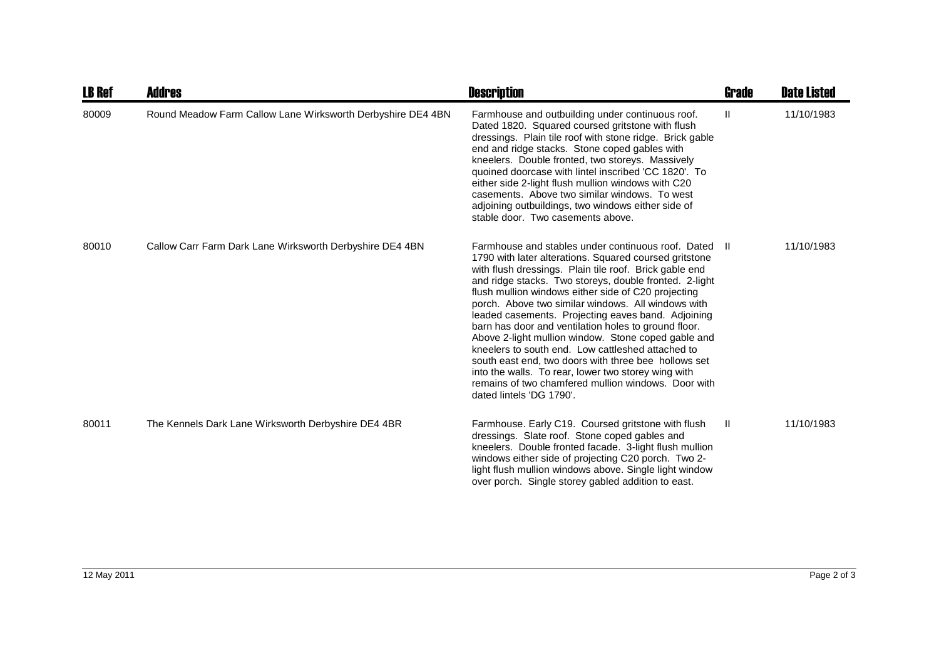| <b>LB Ref</b> | <b>Addres</b>                                               | <b>Description</b>                                                                                                                                                                                                                                                                                                                                                                                                                                                                                                                                                                                                                                                                                                                                                        | <b>Grade</b> | <b>Date Listed</b> |
|---------------|-------------------------------------------------------------|---------------------------------------------------------------------------------------------------------------------------------------------------------------------------------------------------------------------------------------------------------------------------------------------------------------------------------------------------------------------------------------------------------------------------------------------------------------------------------------------------------------------------------------------------------------------------------------------------------------------------------------------------------------------------------------------------------------------------------------------------------------------------|--------------|--------------------|
| 80009         | Round Meadow Farm Callow Lane Wirksworth Derbyshire DE4 4BN | Farmhouse and outbuilding under continuous roof.<br>Dated 1820. Squared coursed gritstone with flush<br>dressings. Plain tile roof with stone ridge. Brick gable<br>end and ridge stacks. Stone coped gables with<br>kneelers. Double fronted, two storeys. Massively<br>quoined doorcase with lintel inscribed 'CC 1820'. To<br>either side 2-light flush mullion windows with C20<br>casements. Above two similar windows. To west<br>adjoining outbuildings, two windows either side of<br>stable door. Two casements above.                                                                                                                                                                                                                                           | Ш            | 11/10/1983         |
| 80010         | Callow Carr Farm Dark Lane Wirksworth Derbyshire DE4 4BN    | Farmhouse and stables under continuous roof. Dated<br>1790 with later alterations. Squared coursed gritstone<br>with flush dressings. Plain tile roof. Brick gable end<br>and ridge stacks. Two storeys, double fronted. 2-light<br>flush mullion windows either side of C20 projecting<br>porch. Above two similar windows. All windows with<br>leaded casements. Projecting eaves band. Adjoining<br>barn has door and ventilation holes to ground floor.<br>Above 2-light mullion window. Stone coped gable and<br>kneelers to south end. Low cattleshed attached to<br>south east end, two doors with three bee hollows set<br>into the walls. To rear, lower two storey wing with<br>remains of two chamfered mullion windows. Door with<br>dated lintels 'DG 1790'. | - 11         | 11/10/1983         |
| 80011         | The Kennels Dark Lane Wirksworth Derbyshire DE4 4BR         | Farmhouse. Early C19. Coursed gritstone with flush<br>dressings. Slate roof. Stone coped gables and<br>kneelers. Double fronted facade. 3-light flush mullion<br>windows either side of projecting C20 porch. Two 2-<br>light flush mullion windows above. Single light window<br>over porch. Single storey gabled addition to east.                                                                                                                                                                                                                                                                                                                                                                                                                                      | $\mathbf{H}$ | 11/10/1983         |